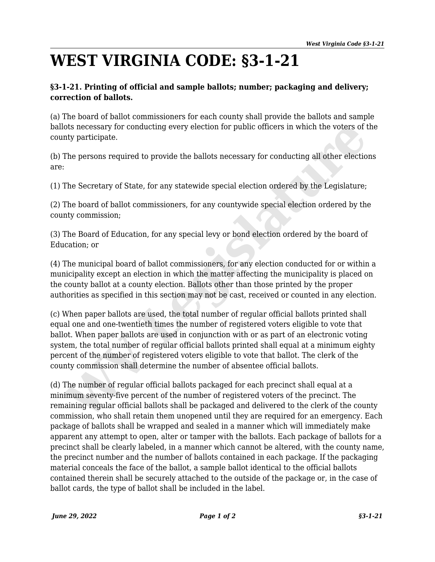## **WEST VIRGINIA CODE: §3-1-21**

## **§3-1-21. Printing of official and sample ballots; number; packaging and delivery; correction of ballots.**

(a) The board of ballot commissioners for each county shall provide the ballots and sample ballots necessary for conducting every election for public officers in which the voters of the county participate.

(b) The persons required to provide the ballots necessary for conducting all other elections are:

(1) The Secretary of State, for any statewide special election ordered by the Legislature;

(2) The board of ballot commissioners, for any countywide special election ordered by the county commission;

(3) The Board of Education, for any special levy or bond election ordered by the board of Education; or

(4) The municipal board of ballot commissioners, for any election conducted for or within a municipality except an election in which the matter affecting the municipality is placed on the county ballot at a county election. Ballots other than those printed by the proper authorities as specified in this section may not be cast, received or counted in any election.

(c) When paper ballots are used, the total number of regular official ballots printed shall equal one and one-twentieth times the number of registered voters eligible to vote that ballot. When paper ballots are used in conjunction with or as part of an electronic voting system, the total number of regular official ballots printed shall equal at a minimum eighty percent of the number of registered voters eligible to vote that ballot. The clerk of the county commission shall determine the number of absentee official ballots. ots necessary for conducting every election for public officers in which the voters of thy participate.<br>The persons required to provide the ballots necessary for conducting all other election<br>The persons required to provid

(d) The number of regular official ballots packaged for each precinct shall equal at a minimum seventy-five percent of the number of registered voters of the precinct. The remaining regular official ballots shall be packaged and delivered to the clerk of the county commission, who shall retain them unopened until they are required for an emergency. Each package of ballots shall be wrapped and sealed in a manner which will immediately make apparent any attempt to open, alter or tamper with the ballots. Each package of ballots for a precinct shall be clearly labeled, in a manner which cannot be altered, with the county name, the precinct number and the number of ballots contained in each package. If the packaging material conceals the face of the ballot, a sample ballot identical to the official ballots contained therein shall be securely attached to the outside of the package or, in the case of ballot cards, the type of ballot shall be included in the label.